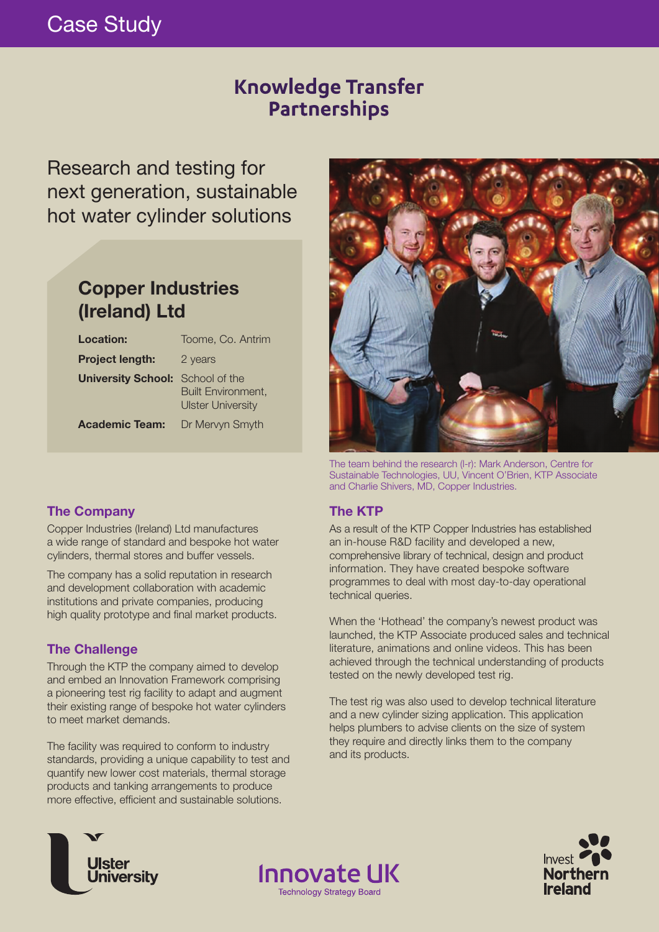# Case Study

## **Knowledge Transfer** Partnerships

Research and testing for next generation, sustainable hot water cylinder solutions

## **Copper Industries (Ireland) Ltd**

| <b>Location:</b>                        | Toome, Co. Antrim                                     |
|-----------------------------------------|-------------------------------------------------------|
| <b>Project length:</b>                  | 2 years                                               |
| <b>University School:</b> School of the | <b>Built Environment,</b><br><b>Ulster University</b> |
| <b>Academic Team:</b>                   | Dr Mervyn Smyth                                       |



The team behind the research (l-r): Mark Anderson, Centre for Sustainable Technologies, UU, Vincent O'Brien, KTP Associate and Charlie Shivers, MD, Copper Industries.

### **The Company**

Copper Industries (Ireland) Ltd manufactures a wide range of standard and bespoke hot water cylinders, thermal stores and buffer vessels.

The company has a solid reputation in research and development collaboration with academic institutions and private companies, producing high quality prototype and final market products.

### **The Challenge**

Through the KTP the company aimed to develop and embed an Innovation Framework comprising a pioneering test rig facility to adapt and augment their existing range of bespoke hot water cylinders to meet market demands.

The facility was required to conform to industry standards, providing a unique capability to test and quantify new lower cost materials, thermal storage products and tanking arrangements to produce more effective, efficient and sustainable solutions.

### **The KTP**

**Innovate UK** 

**Technology Strategy Board** 

As a result of the KTP Copper Industries has established an in-house R&D facility and developed a new, comprehensive library of technical, design and product information. They have created bespoke software programmes to deal with most day-to-day operational technical queries.

When the 'Hothead' the company's newest product was launched, the KTP Associate produced sales and technical literature, animations and online videos. This has been achieved through the technical understanding of products tested on the newly developed test rig.

The test rig was also used to develop technical literature and a new cylinder sizing application. This application helps plumbers to advise clients on the size of system they require and directly links them to the company and its products.